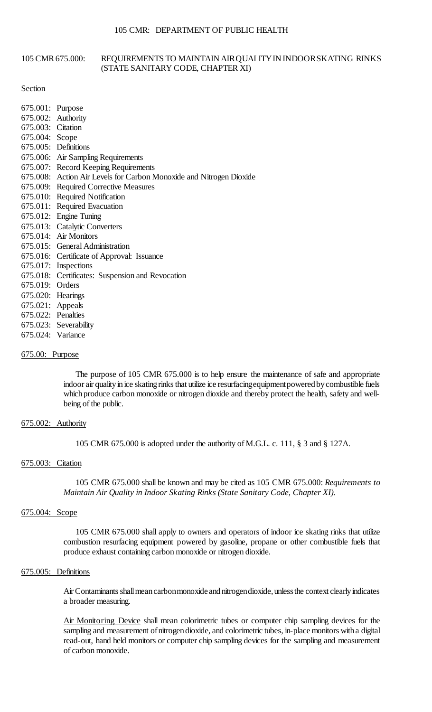#### 105 CMR 675.000: REQUIREMENTS TO MAINTAIN AIRQUALITYIN INDOORSKATING RINKS (STATE SANITARY CODE, CHAPTER XI)

#### Section

| 675.001: Purpose   |                                                                     |
|--------------------|---------------------------------------------------------------------|
|                    | 675.002: Authority                                                  |
| 675.003: Citation  |                                                                     |
| 675.004: Scope     |                                                                     |
|                    | 675.005: Definitions                                                |
|                    | 675.006: Air Sampling Requirements                                  |
|                    | 675.007: Record Keeping Requirements                                |
|                    | 675.008: Action Air Levels for Carbon Monoxide and Nitrogen Dioxide |
|                    | 675.009: Required Corrective Measures                               |
|                    | 675.010: Required Notification                                      |
|                    | 675.011: Required Evacuation                                        |
|                    | 675.012: Engine Tuning                                              |
|                    | 675.013: Catalytic Converters                                       |
|                    | 675.014: Air Monitors                                               |
|                    | 675.015: General Administration                                     |
|                    | 675.016: Certificate of Approval: Issuance                          |
|                    | 675.017: Inspections                                                |
|                    | 675.018: Certificates: Suspension and Revocation                    |
| 675.019: Orders    |                                                                     |
| 675.020: Hearings  |                                                                     |
| 675.021: Appeals   |                                                                     |
| 675.022: Penalties |                                                                     |
|                    | 675.023: Severability                                               |
| 675.024: Variance  |                                                                     |

### 675.00: Purpose

indoor air quality in ice skating rinks that utilize ice resurfacing equipment powered by combustible fuels The purpose of 105 CMR 675.000 is to help ensure the maintenance of safe and appropriate which produce carbon monoxide or nitrogen dioxide and thereby protect the health, safety and wellbeing of the public.

## 675.002: Authority

105 CMR 675.000 is adopted under the authority of M.G.L. c. 111, § 3 and § 127A.

## 675.003: Citation

 105 CMR 675.000 shall be known and may be cited as 105 CMR 675.000: *Requirements to Maintain Air Quality in Indoor Skating Rinks (State Sanitary Code, Chapter XI)*.

#### 675.004: Scope

105 CMR 675.000 shall apply to owners and operators of indoor ice skating rinks that utilize combustion resurfacing equipment powered by gasoline, propane or other combustible fuels that produce exhaust containing carbon monoxide or nitrogen dioxide.

#### 675.005: Definitions

Air Contaminants shall mean carbon monoxide and nitrogen dioxide, unless the context clearly indicates a broader measuring.

 read-out, hand held monitors or computer chip sampling devices for the sampling and measurement Air Monitoring Device shall mean colorimetric tubes or computer chip sampling devices for the sampling and measurement of nitrogen dioxide, and colorimetric tubes, in-place monitors with a digital of carbon monoxide.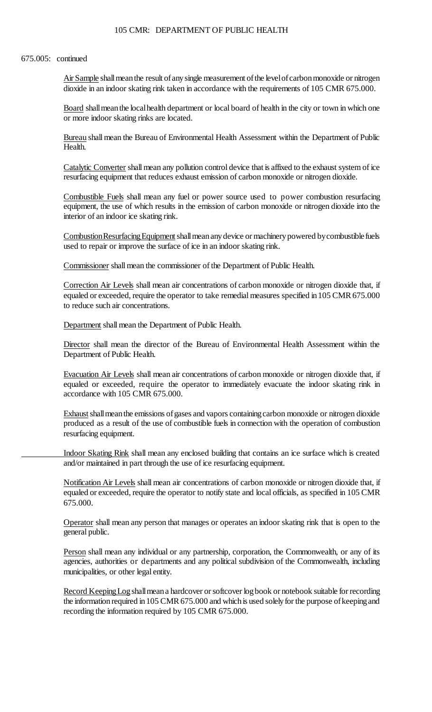#### 675.005: continued

Air Sample shall mean the result of any single measurement of the level of carbon monoxide or nitrogen dioxide in an indoor skating rink taken in accordance with the requirements of 105 CMR 675.000.

Board shall mean the local health department or local board of health in the city or town in which one or more indoor skating rinks are located.

Bureau shall mean the Bureau of Environmental Health Assessment within the Department of Public Health.

Catalytic Converter shall mean any pollution control device that is affixed to the exhaust system of ice resurfacing equipment that reduces exhaust emission of carbon monoxide or nitrogen dioxide.

Combustible Fuels shall mean any fuel or power source used to power combustion resurfacing equipment, the use of which results in the emission of carbon monoxide or nitrogen dioxide into the interior of an indoor ice skating rink.

Combustion Resurfacing Equipment shall mean any device or machinery powered by combustible fuels used to repair or improve the surface of ice in an indoor skating rink.

Commissioner shall mean the commissioner of the Department of Public Health.

Correction Air Levels shall mean air concentrations of carbon monoxide or nitrogen dioxide that, if equaled or exceeded, require the operator to take remedial measures specified in 105 CMR 675.000 to reduce such air concentrations.

Department shall mean the Department of Public Health.

Director shall mean the director of the Bureau of Environmental Health Assessment within the Department of Public Health.

 Evacuation Air Levels shall mean air concentrations of carbon monoxide or nitrogen dioxide that, if equaled or exceeded, require the operator to immediately evacuate the indoor skating rink in accordance with 105 CMR 675.000.

 Exhaust shall mean the emissions of gases and vapors containing carbon monoxide or nitrogen dioxide produced as a result of the use of combustible fuels in connection with the operation of combustion resurfacing equipment.

Indoor Skating Rink shall mean any enclosed building that contains an ice surface which is created and/or maintained in part through the use of ice resurfacing equipment.

Notification Air Levels shall mean air concentrations of carbon monoxide or nitrogen dioxide that, if equaled or exceeded, require the operator to notify state and local officials, as specified in 105 CMR 675.000.

 Operator shall mean any person that manages or operates an indoor skating rink that is open to the general public.

Person shall mean any individual or any partnership, corporation, the Commonwealth, or any of its agencies, authorities or departments and any political subdivision of the Commonwealth, including municipalities, or other legal entity.

Record Keeping Log shall mean a hardcover or softcover log book or notebook suitable for recording the information required in 105 CMR 675.000 and which is used solely for the purpose of keeping and recording the information required by 105 CMR 675.000.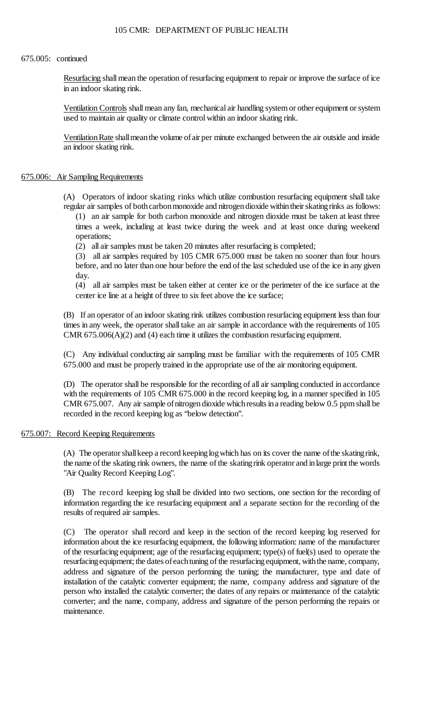#### 675.005: continued

Resurfacing shall mean the operation of resurfacing equipment to repair or improve the surface of ice in an indoor skating rink.

 Ventilation Controls shall mean any fan, mechanical air handling system or other equipment or system used to maintain air quality or climate control within an indoor skating rink.

 Ventilation Rate shall mean the volume of air per minute exchanged between the air outside and inside an indoor skating rink.

### 675.006: Air Sampling Requirements

 regular air samples of both carbon monoxide and nitrogen dioxide within their skating rinks as follows: (A) Operators of indoor skating rinks which utilize combustion resurfacing equipment shall take

 (1) an air sample for both carbon monoxide and nitrogen dioxide must be taken at least three times a week, including at least twice during the week and at least once during weekend operations;

(2) all air samples must be taken 20 minutes after resurfacing is completed;

(3) all air samples required by 105 CMR 675.000 must be taken no sooner than four hours before, and no later than one hour before the end of the last scheduled use of the ice in any given day.

(4) all air samples must be taken either at center ice or the perimeter of the ice surface at the center ice line at a height of three to six feet above the ice surface;

 times in any week, the operator shall take an air sample in accordance with the requirements of 105 (B) If an operator of an indoor skating rink utilizes combustion resurfacing equipment less than four CMR  $675.006(A)(2)$  and  $(4)$  each time it utilizes the combustion resurfacing equipment.

(C) Any individual conducting air sampling must be familiar with the requirements of 105 CMR 675.000 and must be properly trained in the appropriate use of the air monitoring equipment.

with the requirements of 105 CMR 675.000 in the record keeping log, in a manner specified in 105 CMR 675.007. Any air sample ofnitrogendioxide whichresults ina reading below 0.5 ppm shall be (D) The operator shall be responsible for the recording of all air sampling conducted in accordance recorded in the record keeping log as "below detection".

### 675.007: Record Keeping Requirements

 (A) The operator shall keep a record keeping log which has on its cover the name of the skating rink, the name of the skating rink owners, the name of the skating rink operator and in large print the words "Air Quality Record Keeping Log".

 (B) The record keeping log shall be divided into two sections, one section for the recording of information regarding the ice resurfacing equipment and a separate section for the recording of the results of required air samples.

 information about the ice resurfacing equipment, the following information: name of the manufacturer of the resurfacing equipment; age of the resurfacing equipment; type(s) of fuel(s) used to operate the resurfacing equipment; the dates of each tuning of the resurfacing equipment, with the name, company, installation of the catalytic converter equipment; the name, company address and signature of the person who installed the catalytic converter; the dates of any repairs or maintenance of the catalytic (C) The operator shall record and keep in the section of the record keeping log reserved for address and signature of the person performing the tuning; the manufacturer, type and date of converter; and the name, company, address and signature of the person performing the repairs or maintenance.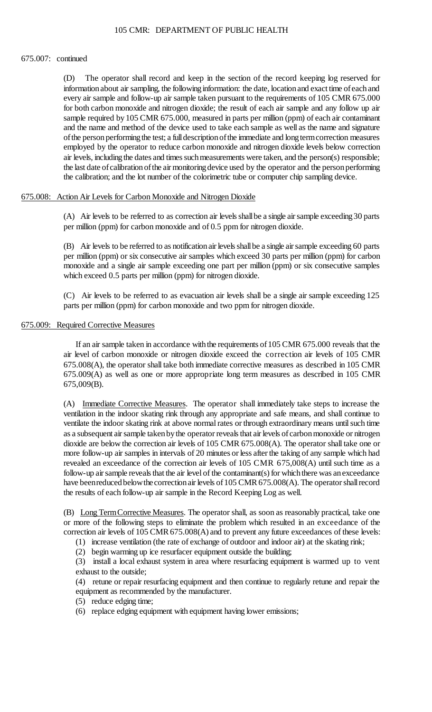#### 675.007: continued

 $(D)$  information about air sampling, the following information: the date, location and exact time of each and for both carbon monoxide and nitrogen dioxide; the result of each air sample and any follow up air and the name and method of the device used to take each sample as well as the name and signature employed by the operator to reduce carbon monoxide and nitrogen dioxide levels below correction the last date of calibration of the air monitoring device used by the operator and the person performing The operator shall record and keep in the section of the record keeping log reserved for every air sample and follow-up air sample taken pursuant to the requirements of 105 CMR 675.000 sample required by 105 CMR 675.000, measured in parts per million (ppm) of each air contaminant of the person performing the test; a full description of the immediate and long term correction measures air levels, including the dates and times such measurements were taken, and the person(s) responsible; the calibration; and the lot number of the colorimetric tube or computer chip sampling device.

## 675.008: Action Air Levels for Carbon Monoxide and Nitrogen Dioxide

 (A) Air levels to be referred to as correction air levels shallbe a single air sample exceeding30 parts per million (ppm) for carbon monoxide and of 0.5 ppm for nitrogen dioxide.

 (B) Air levels to be referred to as notification air levels shall be a single air sample exceeding 60 parts per million (ppm) or six consecutive air samples which exceed 30 parts per million (ppm) for carbon monoxide and a single air sample exceeding one part per million (ppm) or six consecutive samples which exceed 0.5 parts per million (ppm) for nitrogen dioxide.

 (C) Air levels to be referred to as evacuation air levels shall be a single air sample exceeding 125 parts per million (ppm) for carbon monoxide and two ppm for nitrogen dioxide.

## 675.009: Required Corrective Measures

If an air sample taken in accordance with the requirements of 105 CMR 675.000 reveals that the air level of carbon monoxide or nitrogen dioxide exceed the correction air levels of 105 CMR 675.008(A), the operator shall take both immediate corrective measures as described in 105 CMR 675.009(A) as well as one or more appropriate long term measures as described in 105 CMR 675,009(B).

 more follow-up air samples in intervals of 20 minutes or less after the taking of any sample which had follow-up air sample reveals that the air level of the contaminant(s) for which there was an exceedance have been reduced below the correction air levels of 105 CMR 675.008(A). The operator shall record (A) Immediate Corrective Measures. The operator shall immediately take steps to increase the ventilation in the indoor skating rink through any appropriate and safe means, and shall continue to ventilate the indoor skating rink at above normal rates or through extraordinary means until such time as a subsequent air sample taken by the operator reveals that air levels of carbon monoxide or nitrogen dioxide are below the correction air levels of 105 CMR 675.008(A). The operator shall take one or revealed an exceedance of the correction air levels of 105 CMR 675,008(A) until such time as a the results of each follow-up air sample in the Record Keeping Log as well.

(B) Long Term Corrective Measures. The operator shall, as soon as reasonably practical, take one correction air levels of 105 CMR 675.008(A) and to prevent any future exceedances of these levels: or more of the following steps to eliminate the problem which resulted in an exceedance of the

(1) increase ventilation (the rate of exchange of outdoor and indoor air) at the skating rink;

(2) begin warming up ice resurfacer equipment outside the building;

 (3) install a local exhaust system in area where resurfacing equipment is warmed up to vent exhaust to the outside;

(4) retune or repair resurfacing equipment and then continue to regularly retune and repair the equipment as recommended by the manufacturer.

- (5) reduce edging time;
- (6) replace edging equipment with equipment having lower emissions;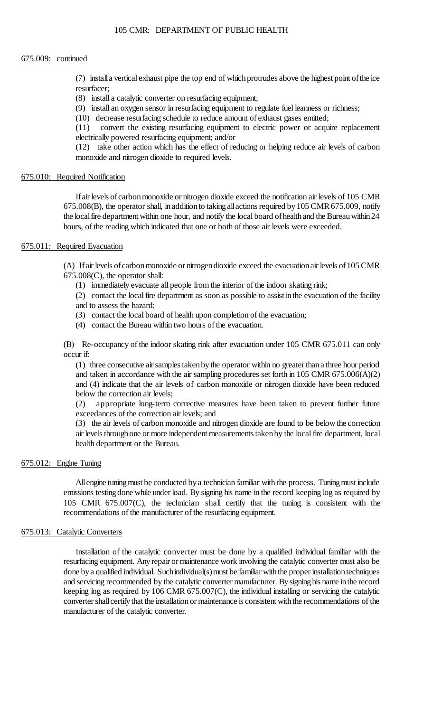#### 675.009: continued

 (7) install a vertical exhaust pipe the top end of which protrudes above the highest point of the ice resurfacer;

(8) install a catalytic converter on resurfacing equipment;

(9) install an oxygen sensor in resurfacing equipment to regulate fuel leanness or richness;

(10) decrease resurfacing schedule to reduce amount of exhaust gases emitted;

(11) convert the existing resurfacing equipment to electric power or acquire replacement electrically powered resurfacing equipment; and/or

(12) take other action which has the effect of reducing or helping reduce air levels of carbon monoxide and nitrogen dioxide to required levels.

### 675.010: Required Notification

If air levels of carbon monoxide or nitrogen dioxide exceed the notification air levels of 105 CMR 675.008(B), the operator shall, in addition to taking all actions required by 105 CMR 675.009, notify the local fire department within one hour, and notify the local board of health and the Bureau within 24 hours, of the reading which indicated that one or both of those air levels were exceeded.

### 675.011: Required Evacuation

(A) If air levels of carbon monoxide or nitrogen dioxide exceed the evacuation air levels of 105 CMR 675.008(C), the operator shall:

(1) immediately evacuate all people from the interior of the indoor skating rink;

(2) contact the local fire department as soon as possible to assist in the evacuation of the facility and to assess the hazard;

- (3) contact the local board of health upon completion of the evacuation;
- (4) contact the Bureau within two hours of the evacuation.

 (B) Re-occupancy of the indoor skating rink after evacuation under 105 CMR 675.011 can only occur if:

 (1) three consecutive air samples taken by the operator within no greater than a three hour period and taken in accordance with the air sampling procedures set forth in 105 CMR 675.006(A)(2) and (4) indicate that the air levels of carbon monoxide or nitrogen dioxide have been reduced below the correction air levels;

(2) appropriate long-term corrective measures have been taken to prevent further future exceedances of the correction air levels; and

 (3) the air levels of carbon monoxide and nitrogen dioxide are found to be below the correction air levels through one or more independent measurements taken by the local fire department, local health department or the Bureau.

### 675.012: Engine Tuning

 All engine tuning must be conducted by a technician familiar with the process. Tuning must include emissions testing done while under load. By signing his name in the record keeping log as required by 105 CMR 675.007(C), the technician shall certify that the tuning is consistent with the recommendations of the manufacturer of the resurfacing equipment.

### 675.013: Catalytic Converters

 resurfacing equipment. Anyrepair or maintenance work involving the catalytic converter must also be done by a qualified individual. Suchindividual(s) must be familiar with the proper installation techniques and servicing recommended by the catalytic converter manufacturer. By signing his name in the record keeping log as required by 106 CMR 675.007(C), the individual installing or servicing the catalytic converter shall certify that the installation or maintenance is consistent with the recommendations of the Installation of the catalytic converter must be done by a qualified individual familiar with the manufacturer of the catalytic converter.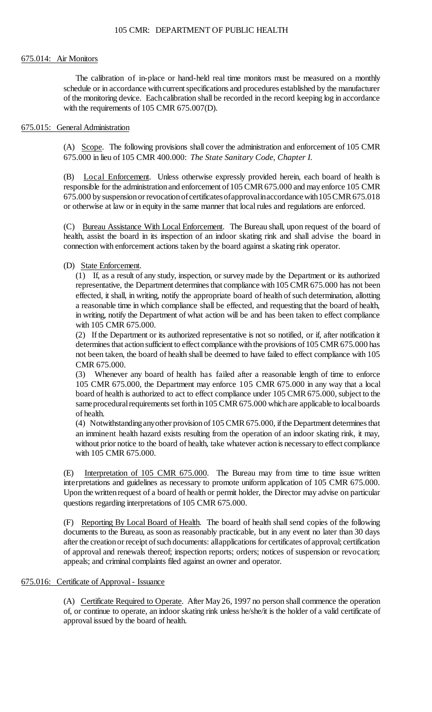#### 675.014: Air Monitors

 schedule or in accordance with current specifications and procedures established by the manufacturer The calibration of in-place or hand-held real time monitors must be measured on a monthly of the monitoring device. Eachcalibration shall be recorded in the record keeping log in accordance with the requirements of 105 CMR 675.007(D).

### 675.015: General Administration

(A) Scope. The following provisions shall cover the administration and enforcement of 105 CMR 675.000 in lieu of 105 CMR 400.000: *The State Sanitary Code, Chapter I*.

675.000 by suspension or revocation of certificates of approval in accordance with 105 CMR 675.018 (B) Local Enforcement. Unless otherwise expressly provided herein, each board of health is responsible for the administration and enforcement of 105 CMR 675.000 and may enforce 105 CMR or otherwise at law or in equity in the same manner that local rules and regulations are enforced.

(C) Bureau Assistance With Local Enforcement. The Bureau shall, upon request of the board of health, assist the board in its inspection of an indoor skating rink and shall advise the board in connection with enforcement actions taken by the board against a skating rink operator.

## (D) State Enforcement.

 (1) If, as a result of any study, inspection, or survey made by the Department or its authorized representative, the Department determines that compliance with 105 CMR 675.000 has not been effected, it shall, in writing, notify the appropriate board of health of such determination, allotting a reasonable time in which compliance shall be effected, and requesting that the board of health, in writing, notify the Department of what action will be and has been taken to effect compliance with 105 CMR 675.000.

(2) If the Department or its authorized representative is not so notified, or if, after notification it determines that action sufficient to effect compliance with the provisions of 105 CMR 675.000 has not been taken, the board of health shall be deemed to have failed to effect compliance with 105 CMR 675.000.

 board of health is authorized to act to effect compliance under 105 CMR 675.000, subject to the (3) Whenever any board of health has failed after a reasonable length of time to enforce 105 CMR 675.000, the Department may enforce 105 CMR 675.000 in any way that a local sameprocedural requirements set forth in 105 CMR 675.000 which are applicable to local boards of health.

 without prior notice to the board of health, take whatever action is necessary to effect compliance (4) Notwithstanding anyother provision of 105 CMR 675.000, if the Department determines that an imminent health hazard exists resulting from the operation of an indoor skating rink, it may, with 105 CMR 675.000.

(E) Interpretation of 105 CMR 675.000. The Bureau may from time to time issue written interpretations and guidelines as necessary to promote uniform application of 105 CMR 675.000. Upon the written request of a board of health or permit holder, the Director may advise on particular questions regarding interpretations of 105 CMR 675.000.

 documents to the Bureau, as soon as reasonably practicable, but in any event no later than 30 days after the creation or receipt of such documents: allapplications for certificates of approval; certification (F) Reporting By Local Board of Health. The board of health shall send copies of the following of approval and renewals thereof; inspection reports; orders; notices of suspension or revocation; appeals; and criminal complaints filed against an owner and operator.

## 675.016: Certificate of Approval - Issuance

 (A) Certificate Required to Operate. After May26, 1997 no person shall commence the operation of, or continue to operate, an indoor skating rink unless he/she/it is the holder of a valid certificate of approval issued by the board of health.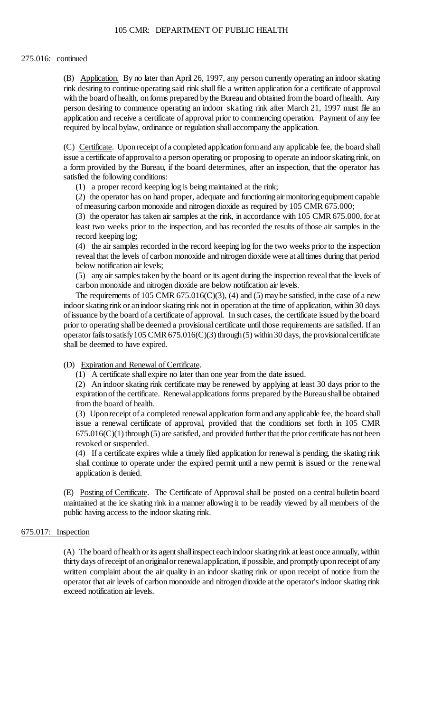(B) Application. By no later than April 26, 1997, any person currently operating an indoor skating rink desiring to continue operating said rink shall file a written application for a certificate of approval with the board of health, on forms prepared by the Bureau and obtained from the board of health. Any person desiring to commence operating an indoor skating rink after March 21, 1997 must file an application and receive a certificate of approval prior to commencing operation. Payment of any fee required by local bylaw, ordinance or regulation shall accompany the application.

 issue a certificate of approval to a person operating or proposing to operate an indoor skating rink, on (C) Certificate. Upon receipt of a completed application form and any applicable fee, the board shall a form provided by the Bureau, if the board determines, after an inspection, that the operator has satisfied the following conditions:

(1) a proper record keeping log is being maintained at the rink;

 (2) the operator has on hand proper, adequate and functioning air monitoring equipment capable of measuring carbon monoxide and nitrogen dioxide as required by 105 CMR 675.000;

 (3) the operator has taken air samples at the rink, in accordance with 105 CMR 675.000, for at least two weeks prior to the inspection, and has recorded the results of those air samples in the record keeping log;

 (4) the air samples recorded in the record keeping log for the two weeks prior to the inspection reveal that the levels of carbon monoxide and nitrogendioxide were at alltimes during that period below notification air levels;

(5) any air samples taken by the board or its agent during the inspection reveal that the levels of carbon monoxide and nitrogen dioxide are below notification air levels.

The requirements of 105 CMR  $675.016(C)(3)$ , (4) and (5) may be satisfied, in the case of a new indoor skatingrink or anindoor skating rink not in operation at the time of application, within 30 days of issuance by the board of a certificate of approval. In such cases, the certificate issued by the board operator fails to satisfy 105 CMR 675.016(C)(3) through (5) within 30 days, the provisional certificate prior to operating shallbe deemed a provisional certificate until those requirements are satisfied. If an shall be deemed to have expired.

(D) Expiration and Renewal of Certificate.

(1) A certificate shall expire no later than one year from the date issued.

 (2) An indoor skating rink certificate may be renewed by applying at least 30 days prior to the expiration of the certificate. Renewal applications forms prepared by the Bureau shall be obtained from the board of health.

 (3) Upon receipt of a completed renewal application form and any applicable fee, the board shall issue a renewal certificate of approval, provided that the conditions set forth in 105 CMR  $675.016(C)(1)$  through (5) are satisfied, and provided further that the prior certificate has not been revoked or suspended.

 shall continue to operate under the expired permit until a new permit is issued or the renewal (4) If a certificate expires while a timely filed application for renewal is pending, the skating rink application is denied.

 (E) Posting of Certificate. The Certificate of Approval shall be posted on a central bulletin board maintained at the ice skating rink in a manner allowing it to be readily viewed by all members of the public having access to the indoor skating rink.

### 675.017: Inspection

 operator that air levels of carbon monoxide and nitrogen dioxide at the operator's indoor skating rink (A) The board of health or its agent shall inspect each indoor skating rink at least once annually, within thirty days of receipt of an original or renewal application, if possible, and promptly upon receipt of any written complaint about the air quality in an indoor skating rink or upon receipt of notice from the exceed notification air levels.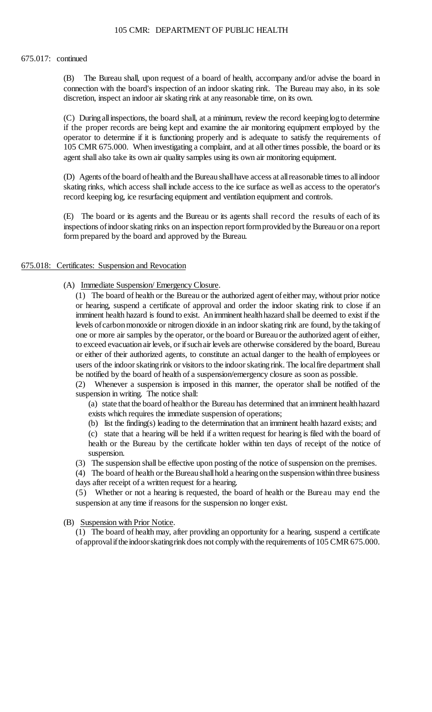#### 675.017: continued

(B) The Bureau shall, upon request of a board of health, accompany and/or advise the board in connection with the board's inspection of an indoor skating rink. The Bureau may also, in its sole discretion, inspect an indoor air skating rink at any reasonable time, on its own.

 (C) Duringallinspections, the board shall, at a minimum, review the record keepinglogto determine if the proper records are being kept and examine the air monitoring equipment employed by the operator to determine if it is functioning properly and is adequate to satisfy the requirements of 105 CMR 675.000. When investigating a complaint, and at all other times possible, the board or its agent shall also take its own air quality samples using its own air monitoring equipment.

 skating rinks, which access shall include access to the ice surface as well as access to the operator's (D) Agents of the board of health and the Bureau shall have access at all reasonable times to all indoor record keeping log, ice resurfacing equipment and ventilation equipment and controls.

 (E) The board or its agents and the Bureau or its agents shall record the results of each of its inspections of indoor skating rinks on an inspection report form provided by the Bureau or on a report form prepared by the board and approved by the Bureau.

## 675.018: Certificates: Suspension and Revocation

(A) Immediate Suspension/ Emergency Closure.

 (1) The board of health or the Bureau or the authorized agent ofeither may, without prior notice imminent health hazard is found to exist. An imminent health hazard shall be deemed to exist if the levels ofcarbonmonoxide or nitrogen dioxide in an indoor skating rink are found, bythe takingof or either of their authorized agents, to constitute an actual danger to the health of employees or users of the indoor skating rink or visitors to the indoor skating rink. The local fire department shall or hearing, suspend a certificate of approval and order the indoor skating rink to close if an one or more air samples by the operator, or the board or Bureau or the authorized agent of either, to exceed evacuation air levels, or if such air levels are otherwise considered by the board, Bureau be notified by the board of health of a suspension/emergency closure as soon as possible.

(2) Whenever a suspension is imposed in this manner, the operator shall be notified of the suspension in writing. The notice shall:

 (a) state that the board of health or the Bureau has determined that an imminent health hazard exists which requires the immediate suspension of operations;

(b) list the finding(s) leading to the determination that an imminent health hazard exists; and

 (c) state that a hearing will be held if a written request for hearing is filed with the board of health or the Bureau by the certificate holder within ten days of receipt of the notice of suspension.

(3) The suspension shall be effective upon posting of the notice of suspension on the premises.

 (4) The board of health or the Bureau shall hold a hearing on the suspension within three business days after receipt of a written request for a hearing.

(5) Whether or not a hearing is requested, the board of health or the Bureau may end the suspension at any time if reasons for the suspension no longer exist.

(B) Suspension with Prior Notice.

 (1) The board of health may, after providing an opportunity for a hearing, suspend a certificate of approval if the indoorskating rink does not comply with the requirements of 105 CMR 675.000.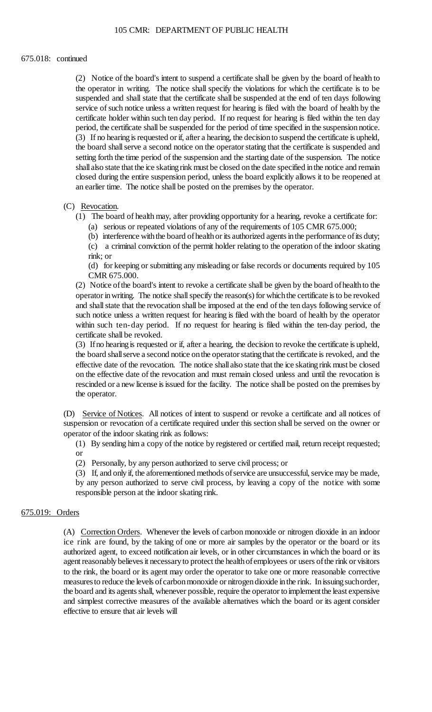#### 675.018: continued

 (2) Notice of the board's intent to suspend a certificate shall be given by the board of health to suspended and shall state that the certificate shall be suspended at the end of ten days following service of such notice unless a written request for hearing is filed with the board of health by the certificate holder within such ten day period. If no request for hearing is filed within the ten day (3) If no hearing is requested or if, after a hearing, the decision to suspend the certificate is upheld, the operator in writing. The notice shall specify the violations for which the certificate is to be period, the certificate shall be suspended for the period of time specified in the suspension notice. the board shall serve a second notice on the operator stating that the certificate is suspended and setting forth the time period of the suspension and the starting date of the suspension. The notice shall also state that the ice skating rink must be closed on the date specified in the notice and remain closed during the entire suspension period, unless the board explicitly allows it to be reopened at an earlier time. The notice shall be posted on the premises by the operator.

#### (C) Revocation.

- (1) The board of health may, after providing opportunity for a hearing, revoke a certificate for:
	- (a) serious or repeated violations of any of the requirements of 105 CMR 675.000;
	- (b) interference with the board of health or its authorized agents in the performance of its duty;

 (c) a criminal conviction of the permit holder relating to the operation of the indoor skating rink; or

 (d) for keeping or submitting any misleading or false records or documents required by 105 CMR 675.000.

 (2) Notice ofthe board's intent to revoke a certificate shall be given by the board ofhealthto the operator in writing. The notice shall specify the reason(s) for which the certificate is to be revoked such notice unless a written request for hearing is filed with the board of health by the operator and shall state that the revocation shall be imposed at the end of the ten days following service of within such ten-day period. If no request for hearing is filed within the ten-day period, the certificate shall be revoked.

 (3) If no hearing is requested or if, after a hearing, the decision to revoke the certificate is upheld, the board shall serve a second notice on the operator stating that the certificate is revoked, and the on the effective date of the revocation and must remain closed unless and until the revocation is rescinded or a new license is issued for the facility. The notice shall be posted on the premises by effective date of the revocation. The notice shall also state that the ice skating rink must be closed the operator.

 suspension or revocation of a certificate required under this section shall be served on the owner or (D) Service of Notices. All notices of intent to suspend or revoke a certificate and all notices of operator of the indoor skating rink as follows:

(1) By sending him a copy of the notice by registered or certified mail, return receipt requested; or

(2) Personally, by any person authorized to serve civil process; or

 (3) If, and only if, the aforementioned methods of service are unsuccessful, service may be made, by any person authorized to serve civil process, by leaving a copy of the notice with some responsible person at the indoor skating rink.

### 675.019: Orders

 (A) Correction Orders. Whenever the levels of carbon monoxide or nitrogen dioxide in an indoor ice rink are found, by the taking of one or more air samples by the operator or the board or its authorized agent, to exceed notification air levels, or in other circumstances in which the board or its to the rink, the board or its agent may order the operator to take one or more reasonable corrective the board and its agents shall, whenever possible, require the operator to implementthe least expensive and simplest corrective measures of the available alternatives which the board or its agent consider agent reasonably believes it necessary to protect the health of employees or users of the rink or visitors measuresto reduce the levels of carbon monoxide or nitrogen dioxide in the rink. In issuing suchorder, effective to ensure that air levels will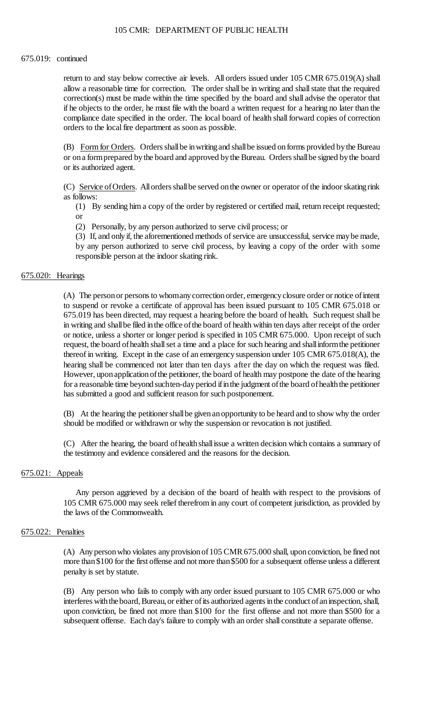#### 675.019: continued

 return to and stay below corrective air levels. All orders issued under 105 CMR 675.019(A) shall allow a reasonable time for correction. The order shall be in writing and shall state that the required compliance date specified in the order. The local board of health shall forward copies of correction correction(s) must be made within the time specified by the board and shall advise the operator that if he objects to the order, he must file with the board a written request for a hearing no later than the orders to the local fire department as soon as possible.

(B) Form for Orders. Orders shall be in writing and shall be issued on forms provided by the Bureau or on a form prepared by the board and approved by the Bureau. Orders shall be signed by the board or its authorized agent.

 (C) Service of Orders. All orders shall be served on the owner or operator of the indoor skating rink as follows:

 (1) By sending him a copy of the order by registered or certified mail, return receipt requested; or

(2) Personally, by any person authorized to serve civil process; or

(3) If, and only if, the aforementioned methods of service are unsuccessful, service may be made,

 by any person authorized to serve civil process, by leaving a copy of the order with some responsible person at the indoor skating rink.

## 675.020: Hearings

 in writing and shallbe filed inthe office ofthe board of health within ten days after receipt of the order request, the board of health shall set a time and a place for such hearing and shall inform the petitioner hearing shall be commenced not later than ten days after the day on which the request was filed. However, uponapplicationofthe petitioner, the board of health may postpone the date of the hearing (A) The person or persons to whomany correction order, emergency closure order or notice of intent to suspend or revoke a certificate of approval has been issued pursuant to 105 CMR 675.018 or 675.019 has been directed, may request a hearing before the board of health. Such request shall be or notice, unless a shorter or longer period is specified in 105 CMR 675.000. Upon receipt of such thereof in writing. Except in the case of an emergency suspension under 105 CMR 675.018(A), the for a reasonable time beyond suchten-day period if in the judgment of the board of health the petitioner has submitted a good and sufficient reason for such postponement.

 (B) At the hearing the petitioner shall be given an opportunity to be heard and to show why the order should be modified or withdrawn or why the suspension or revocation is not justified.

 (C) After the hearing, the board ofhealthshallissue a written decision which contains a summary of the testimony and evidence considered and the reasons for the decision.

### 675.021: Appeals

Any person aggrieved by a decision of the board of health with respect to the provisions of 105 CMR 675.000 may seek relief therefrom in any court of competent jurisdiction, as provided by the laws of the Commonwealth.

### 675.022: Penalties

 more than \$100 for the first offense and not more than \$500 for a subsequent offense unless a different (A) Any person who violates any provision of 105 CMR 675.000 shall, upon conviction, be fined not penalty is set by statute.

 (B) Any person who fails to comply with any order issued pursuant to 105 CMR 675.000 or who upon conviction, be fined not more than \$100 for the first offense and not more than \$500 for a interferes with the board, Bureau, or either of its authorized agents in the conduct of an inspection, shall, subsequent offense. Each day's failure to comply with an order shall constitute a separate offense.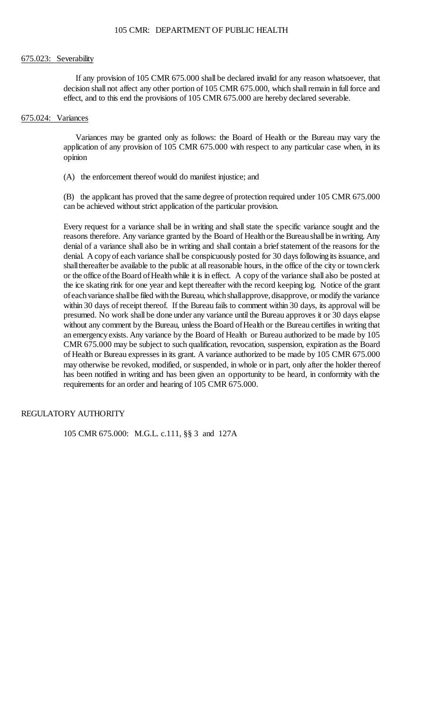#### 675.023: Severability

 If any provision of 105 CMR 675.000 shall be declared invalid for any reason whatsoever, that decision shall not affect any other portion of 105 CMR 675.000, which shall remain in full force and effect, and to this end the provisions of 105 CMR 675.000 are hereby declared severable.

#### 675.024: Variances

Variances may be granted only as follows: the Board of Health or the Bureau may vary the application of any provision of 105 CMR 675.000 with respect to any particular case when, in its opinion

(A) the enforcement thereof would do manifest injustice; and

 (B) the applicant has proved that the same degree of protection required under 105 CMR 675.000 can be achieved without strict application of the particular provision.

reasons therefore. Any variance granted by the Board of Health or the Bureau shall be in writing. Any denial of a variance shall also be in writing and shall contain a brief statement of the reasons for the denial. A copy of each variance shall be conspicuously posted for 30 days following its issuance, and or the office ofthe Board ofHealthwhile it is in effect. A copy of the variance shall also be posted at within 30 days of receipt thereof. If the Bureau fails to comment within 30 days, its approval will be has been notified in writing and has been given an opportunity to be heard, in conformity with the Every request for a variance shall be in writing and shall state the specific variance sought and the shallthereafter be available to the public at all reasonable hours, in the office of the city or townclerk the ice skating rink for one year and kept thereafter with the record keeping log. Notice of the grant of each variance shall be filed with the Bureau, which shallapprove, disapprove, or modify the variance presumed. No work shall be done under any variance until the Bureau approves it or 30 days elapse without any comment by the Bureau, unless the Board of Health or the Bureau certifies in writing that an emergencyexists. Any variance by the Board of Health or Bureau authorized to be made by 105 CMR 675.000 may be subject to such qualification, revocation, suspension, expiration as the Board of Health or Bureau expresses in its grant. A variance authorized to be made by 105 CMR 675.000 may otherwise be revoked, modified, or suspended, in whole or in part, only after the holder thereof requirements for an order and hearing of 105 CMR 675.000.

## REGULATORY AUTHORITY

105 CMR 675.000: M.G.L. c.111, §§ 3 and 127A